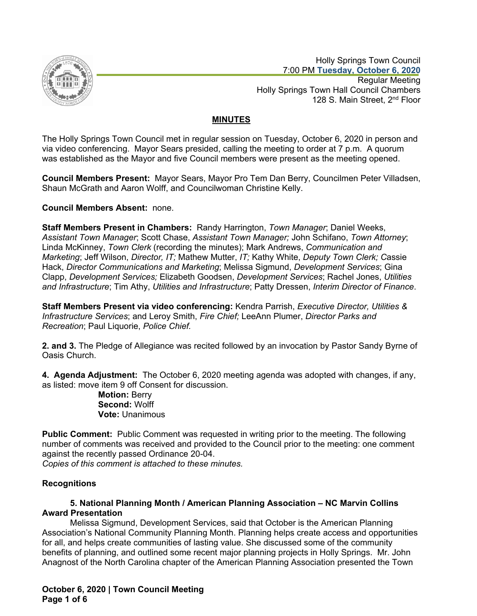

 Holly Springs Town Council 7:00 PM **Tuesday, October 6, 2020** Regular Meeting Holly Springs Town Hall Council Chambers 128 S. Main Street, 2<sup>nd</sup> Floor

# **MINUTES**

The Holly Springs Town Council met in regular session on Tuesday, October 6, 2020 in person and via video conferencing. Mayor Sears presided, calling the meeting to order at 7 p.m. A quorum was established as the Mayor and five Council members were present as the meeting opened.

**Council Members Present:** Mayor Sears, Mayor Pro Tem Dan Berry, Councilmen Peter Villadsen, Shaun McGrath and Aaron Wolff, and Councilwoman Christine Kelly.

**Council Members Absent:** none.

**Staff Members Present in Chambers:** Randy Harrington, *Town Manager*; Daniel Weeks, *Assistant Town Manager*; Scott Chase, *Assistant Town Manager;* John Schifano, *Town Attorney*; Linda McKinney, *Town Clerk* (recording the minutes); Mark Andrews, *Communication and Marketing*; Jeff Wilson, *Director, IT;* Mathew Mutter, *IT;* Kathy White, *Deputy Town Clerk; C*assie Hack, *Director Communications and Marketing*; Melissa Sigmund, *Development Services*; Gina Clapp, *Development Services;* Elizabeth Goodsen, *Development Services*; Rachel Jones, *Utilities and Infrastructure*; Tim Athy, *Utilities and Infrastructure*; Patty Dressen, *Interim Director of Finance*.

**Staff Members Present via video conferencing:** Kendra Parrish, *Executive Director, Utilities & Infrastructure Services*; and Leroy Smith, *Fire Chief;* LeeAnn Plumer, *Director Parks and Recreation*; Paul Liquorie, *Police Chief.*

**2. and 3.** The Pledge of Allegiance was recited followed by an invocation by Pastor Sandy Byrne of Oasis Church.

**4. Agenda Adjustment:** The October 6, 2020 meeting agenda was adopted with changes, if any, as listed: move item 9 off Consent for discussion.

> **Motion:** Berry **Second:** Wolff **Vote:** Unanimous

**Public Comment:** Public Comment was requested in writing prior to the meeting. The following number of comments was received and provided to the Council prior to the meeting: one comment against the recently passed Ordinance 20-04.

*Copies of this comment is attached to these minutes.*

## **Recognitions**

## **5. National Planning Month / American Planning Association – NC Marvin Collins Award Presentation**

Melissa Sigmund, Development Services, said that October is the American Planning Association's National Community Planning Month. Planning helps create access and opportunities for all, and helps create communities of lasting value. She discussed some of the community benefits of planning, and outlined some recent major planning projects in Holly Springs. Mr. John Anagnost of the North Carolina chapter of the American Planning Association presented the Town

**October 6, 2020 | Town Council Meeting Page 1 of 6**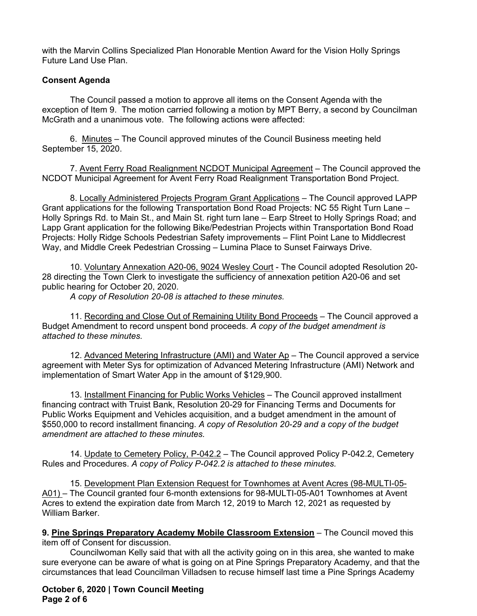with the Marvin Collins Specialized Plan Honorable Mention Award for the Vision Holly Springs Future Land Use Plan.

## **Consent Agenda**

The Council passed a motion to approve all items on the Consent Agenda with the exception of Item 9. The motion carried following a motion by MPT Berry, a second by Councilman McGrath and a unanimous vote. The following actions were affected:

6. Minutes – The Council approved minutes of the Council Business meeting held September 15, 2020.

7. Avent Ferry Road Realignment NCDOT Municipal Agreement – The Council approved the NCDOT Municipal Agreement for Avent Ferry Road Realignment Transportation Bond Project.

8. Locally Administered Projects Program Grant Applications – The Council approved LAPP Grant applications for the following Transportation Bond Road Projects: NC 55 Right Turn Lane – Holly Springs Rd. to Main St., and Main St. right turn lane – Earp Street to Holly Springs Road; and Lapp Grant application for the following Bike/Pedestrian Projects within Transportation Bond Road Projects: Holly Ridge Schools Pedestrian Safety improvements – Flint Point Lane to Middlecrest Way, and Middle Creek Pedestrian Crossing – Lumina Place to Sunset Fairways Drive.

10. Voluntary Annexation A20-06, 9024 Wesley Court - The Council adopted Resolution 20- 28 directing the Town Clerk to investigate the sufficiency of annexation petition A20-06 and set public hearing for October 20, 2020.

*A copy of Resolution 20-08 is attached to these minutes.*

11. Recording and Close Out of Remaining Utility Bond Proceeds - The Council approved a Budget Amendment to record unspent bond proceeds. *A copy of the budget amendment is attached to these minutes.*

12. Advanced Metering Infrastructure (AMI) and Water Ap – The Council approved a service agreement with Meter Sys for optimization of Advanced Metering Infrastructure (AMI) Network and implementation of Smart Water App in the amount of \$129,900.

13. Installment Financing for Public Works Vehicles – The Council approved installment financing contract with Truist Bank, Resolution 20-29 for Financing Terms and Documents for Public Works Equipment and Vehicles acquisition, and a budget amendment in the amount of \$550,000 to record installment financing. *A copy of Resolution 20-29 and a copy of the budget amendment are attached to these minutes.*

14. Update to Cemetery Policy, P-042.2 – The Council approved Policy P-042.2, Cemetery Rules and Procedures. *A copy of Policy P-042.2 is attached to these minutes.*

15. Development Plan Extension Request for Townhomes at Avent Acres (98-MULTI-05- A01) – The Council granted four 6-month extensions for 98-MULTI-05-A01 Townhomes at Avent Acres to extend the expiration date from March 12, 2019 to March 12, 2021 as requested by William Barker.

**9. Pine Springs Preparatory Academy Mobile Classroom Extension** – The Council moved this item off of Consent for discussion.

Councilwoman Kelly said that with all the activity going on in this area, she wanted to make sure everyone can be aware of what is going on at Pine Springs Preparatory Academy, and that the circumstances that lead Councilman Villadsen to recuse himself last time a Pine Springs Academy

**October 6, 2020 | Town Council Meeting Page 2 of 6**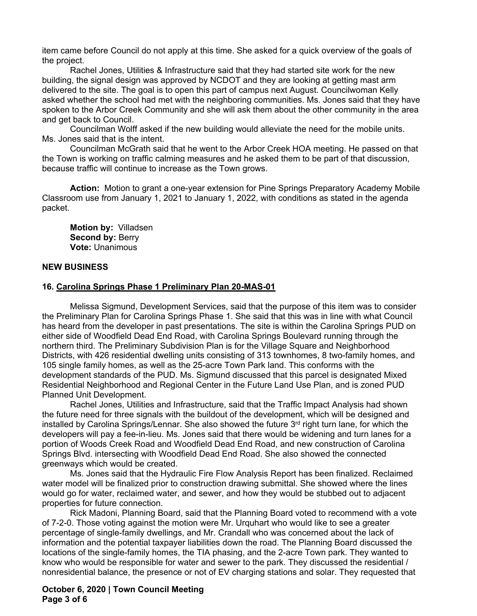item came before Council do not apply at this time. She asked for a quick overview of the goals of the project.

Rachel Jones, Utilities & Infrastructure said that they had started site work for the new building, the signal design was approved by NCDOT and they are looking at getting mast arm delivered to the site. The goal is to open this part of campus next August. Councilwoman Kelly asked whether the school had met with the neighboring communities. Ms. Jones said that they have spoken to the Arbor Creek Community and she will ask them about the other community in the area and get back to Council.

Councilman Wolff asked if the new building would alleviate the need for the mobile units. Ms. Jones said that is the intent.

Councilman McGrath said that he went to the Arbor Creek HOA meeting. He passed on that the Town is working on traffic calming measures and he asked them to be part of that discussion, because traffic will continue to increase as the Town grows.

**Action:** Motion to grant a one-year extension for Pine Springs Preparatory Academy Mobile Classroom use from January 1, 2021 to January 1, 2022, with conditions as stated in the agenda packet.

**Motion by:** Villadsen **Second by:** Berry **Vote:** Unanimous

#### **NEW BUSINESS**

#### **16. Carolina Springs Phase 1 Preliminary Plan 20-MAS-01**

Melissa Sigmund, Development Services, said that the purpose of this item was to consider the Preliminary Plan for Carolina Springs Phase 1. She said that this was in line with what Council has heard from the developer in past presentations. The site is within the Carolina Springs PUD on either side of Woodfield Dead End Road, with Carolina Springs Boulevard running through the northern third. The Preliminary Subdivision Plan is for the Village Square and Neighborhood Districts, with 426 residential dwelling units consisting of 313 townhomes, 8 two-family homes, and 105 single family homes, as well as the 25-acre Town Park land. This conforms with the development standards of the PUD. Ms. Sigmund discussed that this parcel is designated Mixed Residential Neighborhood and Regional Center in the Future Land Use Plan, and is zoned PUD Planned Unit Development.

Rachel Jones, Utilities and Infrastructure, said that the Traffic Impact Analysis had shown the future need for three signals with the buildout of the development, which will be designed and installed by Carolina Springs/Lennar. She also showed the future  $3<sup>rd</sup>$  right turn lane, for which the developers will pay a fee-in-lieu. Ms. Jones said that there would be widening and turn lanes for a portion of Woods Creek Road and Woodfield Dead End Road, and new construction of Carolina Springs Blvd. intersecting with Woodfield Dead End Road. She also showed the connected greenways which would be created.

Ms. Jones said that the Hydraulic Fire Flow Analysis Report has been finalized. Reclaimed water model will be finalized prior to construction drawing submittal. She showed where the lines would go for water, reclaimed water, and sewer, and how they would be stubbed out to adjacent properties for future connection.

Rick Madoni, Planning Board, said that the Planning Board voted to recommend with a vote of 7-2-0. Those voting against the motion were Mr. Urquhart who would like to see a greater percentage of single-family dwellings, and Mr. Crandall who was concerned about the lack of information and the potential taxpayer liabilities down the road. The Planning Board discussed the locations of the single-family homes, the TIA phasing, and the 2-acre Town park. They wanted to know who would be responsible for water and sewer to the park. They discussed the residential / nonresidential balance, the presence or not of EV charging stations and solar. They requested that

**October 6, 2020 | Town Council Meeting Page 3 of 6**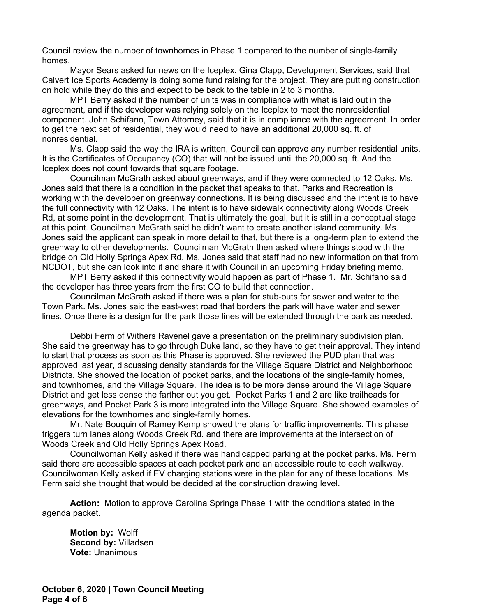Council review the number of townhomes in Phase 1 compared to the number of single-family homes.

Mayor Sears asked for news on the Iceplex. Gina Clapp, Development Services, said that Calvert Ice Sports Academy is doing some fund raising for the project. They are putting construction on hold while they do this and expect to be back to the table in 2 to 3 months.

MPT Berry asked if the number of units was in compliance with what is laid out in the agreement, and if the developer was relying solely on the Iceplex to meet the nonresidential component. John Schifano, Town Attorney, said that it is in compliance with the agreement. In order to get the next set of residential, they would need to have an additional 20,000 sq. ft. of nonresidential.

Ms. Clapp said the way the IRA is written, Council can approve any number residential units. It is the Certificates of Occupancy (CO) that will not be issued until the 20,000 sq. ft. And the Iceplex does not count towards that square footage.

Councilman McGrath asked about greenways, and if they were connected to 12 Oaks. Ms. Jones said that there is a condition in the packet that speaks to that. Parks and Recreation is working with the developer on greenway connections. It is being discussed and the intent is to have the full connectivity with 12 Oaks. The intent is to have sidewalk connectivity along Woods Creek Rd, at some point in the development. That is ultimately the goal, but it is still in a conceptual stage at this point. Councilman McGrath said he didn't want to create another island community. Ms. Jones said the applicant can speak in more detail to that, but there is a long-term plan to extend the greenway to other developments. Councilman McGrath then asked where things stood with the bridge on Old Holly Springs Apex Rd. Ms. Jones said that staff had no new information on that from NCDOT, but she can look into it and share it with Council in an upcoming Friday briefing memo.

MPT Berry asked if this connectivity would happen as part of Phase 1. Mr. Schifano said the developer has three years from the first CO to build that connection.

Councilman McGrath asked if there was a plan for stub-outs for sewer and water to the Town Park. Ms. Jones said the east-west road that borders the park will have water and sewer lines. Once there is a design for the park those lines will be extended through the park as needed.

Debbi Ferm of Withers Ravenel gave a presentation on the preliminary subdivision plan. She said the greenway has to go through Duke land, so they have to get their approval. They intend to start that process as soon as this Phase is approved. She reviewed the PUD plan that was approved last year, discussing density standards for the Village Square District and Neighborhood Districts. She showed the location of pocket parks, and the locations of the single-family homes, and townhomes, and the Village Square. The idea is to be more dense around the Village Square District and get less dense the farther out you get. Pocket Parks 1 and 2 are like trailheads for greenways, and Pocket Park 3 is more integrated into the Village Square. She showed examples of elevations for the townhomes and single-family homes.

Mr. Nate Bouquin of Ramey Kemp showed the plans for traffic improvements. This phase triggers turn lanes along Woods Creek Rd. and there are improvements at the intersection of Woods Creek and Old Holly Springs Apex Road.

Councilwoman Kelly asked if there was handicapped parking at the pocket parks. Ms. Ferm said there are accessible spaces at each pocket park and an accessible route to each walkway. Councilwoman Kelly asked if EV charging stations were in the plan for any of these locations. Ms. Ferm said she thought that would be decided at the construction drawing level.

**Action:** Motion to approve Carolina Springs Phase 1 with the conditions stated in the agenda packet.

**Motion by:** Wolff **Second by:** Villadsen **Vote:** Unanimous

**October 6, 2020 | Town Council Meeting Page 4 of 6**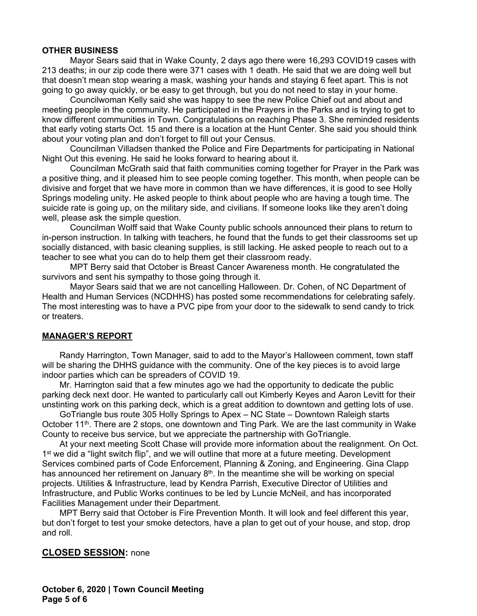#### **OTHER BUSINESS**

Mayor Sears said that in Wake County, 2 days ago there were 16,293 COVID19 cases with 213 deaths; in our zip code there were 371 cases with 1 death. He said that we are doing well but that doesn't mean stop wearing a mask, washing your hands and staying 6 feet apart. This is not going to go away quickly, or be easy to get through, but you do not need to stay in your home.

Councilwoman Kelly said she was happy to see the new Police Chief out and about and meeting people in the community. He participated in the Prayers in the Parks and is trying to get to know different communities in Town. Congratulations on reaching Phase 3. She reminded residents that early voting starts Oct. 15 and there is a location at the Hunt Center. She said you should think about your voting plan and don't forget to fill out your Census.

Councilman Villadsen thanked the Police and Fire Departments for participating in National Night Out this evening. He said he looks forward to hearing about it.

Councilman McGrath said that faith communities coming together for Prayer in the Park was a positive thing, and it pleased him to see people coming together. This month, when people can be divisive and forget that we have more in common than we have differences, it is good to see Holly Springs modeling unity. He asked people to think about people who are having a tough time. The suicide rate is going up, on the military side, and civilians. If someone looks like they aren't doing well, please ask the simple question.

Councilman Wolff said that Wake County public schools announced their plans to return to in-person instruction. In talking with teachers, he found that the funds to get their classrooms set up socially distanced, with basic cleaning supplies, is still lacking. He asked people to reach out to a teacher to see what you can do to help them get their classroom ready.

MPT Berry said that October is Breast Cancer Awareness month. He congratulated the survivors and sent his sympathy to those going through it.

Mayor Sears said that we are not cancelling Halloween. Dr. Cohen, of NC Department of Health and Human Services (NCDHHS) has posted some recommendations for celebrating safely. The most interesting was to have a PVC pipe from your door to the sidewalk to send candy to trick or treaters.

## **MANAGER'S REPORT**

Randy Harrington, Town Manager, said to add to the Mayor's Halloween comment, town staff will be sharing the DHHS guidance with the community. One of the key pieces is to avoid large indoor parties which can be spreaders of COVID 19.

Mr. Harrington said that a few minutes ago we had the opportunity to dedicate the public parking deck next door. He wanted to particularly call out Kimberly Keyes and Aaron Levitt for their unstinting work on this parking deck, which is a great addition to downtown and getting lots of use.

GoTriangle bus route 305 Holly Springs to Apex – NC State – Downtown Raleigh starts October 11<sup>th</sup>. There are 2 stops, one downtown and Ting Park. We are the last community in Wake County to receive bus service, but we appreciate the partnership with GoTriangle.

At your next meeting Scott Chase will provide more information about the realignment. On Oct. 1<sup>st</sup> we did a "light switch flip", and we will outline that more at a future meeting. Development Services combined parts of Code Enforcement, Planning & Zoning, and Engineering. Gina Clapp has announced her retirement on January  $8<sup>th</sup>$ . In the meantime she will be working on special projects. Utilities & Infrastructure, lead by Kendra Parrish, Executive Director of Utilities and Infrastructure, and Public Works continues to be led by Luncie McNeil, and has incorporated Facilities Management under their Department.

MPT Berry said that October is Fire Prevention Month. It will look and feel different this year, but don't forget to test your smoke detectors, have a plan to get out of your house, and stop, drop and roll.

#### **CLOSED SESSION:** none